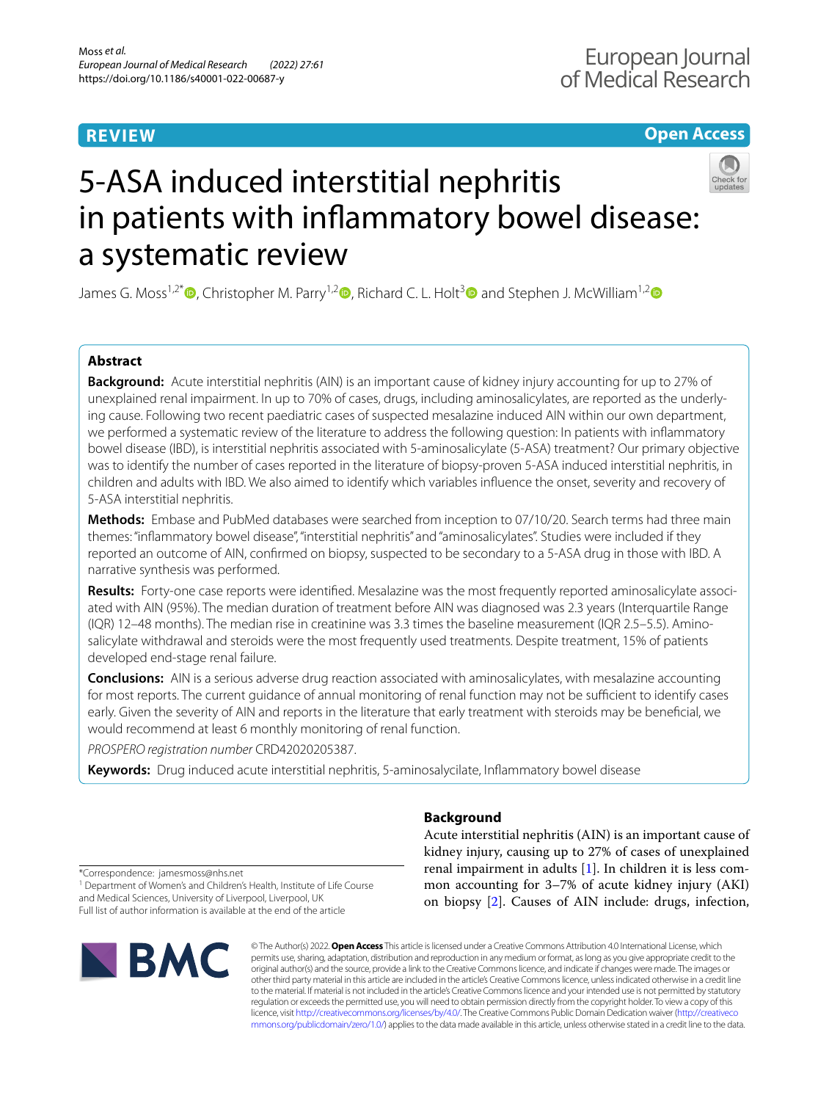# **REVIEW**

# **Open Access**



James G. Moss<sup>1,2[\\*](http://orcid.org/0000-0003-4330-3805)</sup> $\bullet$ , Christopher M. Parry<sup>1,[2](http://orcid.org/0000-0002-0256-1325)</sup> $\bullet$ , Richard C. L. Holt<sup>3</sup> $\bullet$  and Stephen J. McWilliam<sup>1,2</sup> $\bullet$ 

# **Abstract**

**Background:** Acute interstitial nephritis (AIN) is an important cause of kidney injury accounting for up to 27% of unexplained renal impairment. In up to 70% of cases, drugs, including aminosalicylates, are reported as the underlying cause. Following two recent paediatric cases of suspected mesalazine induced AIN within our own department, we performed a systematic review of the literature to address the following question: In patients with infammatory bowel disease (IBD), is interstitial nephritis associated with 5-aminosalicylate (5-ASA) treatment? Our primary objective was to identify the number of cases reported in the literature of biopsy-proven 5-ASA induced interstitial nephritis, in children and adults with IBD. We also aimed to identify which variables infuence the onset, severity and recovery of 5-ASA interstitial nephritis.

**Methods:** Embase and PubMed databases were searched from inception to 07/10/20. Search terms had three main themes: "infammatory bowel disease", "interstitial nephritis" and "aminosalicylates". Studies were included if they reported an outcome of AIN, confrmed on biopsy, suspected to be secondary to a 5-ASA drug in those with IBD. A narrative synthesis was performed.

**Results:** Forty-one case reports were identifed. Mesalazine was the most frequently reported aminosalicylate associated with AIN (95%). The median duration of treatment before AIN was diagnosed was 2.3 years (Interquartile Range (IQR) 12–48 months). The median rise in creatinine was 3.3 times the baseline measurement (IQR 2.5–5.5). Aminosalicylate withdrawal and steroids were the most frequently used treatments. Despite treatment, 15% of patients developed end-stage renal failure.

**Conclusions:** AIN is a serious adverse drug reaction associated with aminosalicylates, with mesalazine accounting for most reports. The current guidance of annual monitoring of renal function may not be sufficient to identify cases early. Given the severity of AIN and reports in the literature that early treatment with steroids may be benefcial, we would recommend at least 6 monthly monitoring of renal function.

*PROSPERO registration number* CRD42020205387.

**Keywords:** Drug induced acute interstitial nephritis, 5-aminosalycilate, Infammatory bowel disease

# **Background**

Acute interstitial nephritis (AIN) is an important cause of kidney injury, causing up to 27% of cases of unexplained renal impairment in adults [[1\]](#page-6-0). In children it is less common accounting for 3–7% of acute kidney injury (AKI) on biopsy [\[2](#page-6-1)]. Causes of AIN include: drugs, infection,

\*Correspondence: jamesmoss@nhs.net

<sup>1</sup> Department of Women's and Children's Health, Institute of Life Course and Medical Sciences, University of Liverpool, Liverpool, UK Full list of author information is available at the end of the article



© The Author(s) 2022. **Open Access** This article is licensed under a Creative Commons Attribution 4.0 International License, which permits use, sharing, adaptation, distribution and reproduction in any medium or format, as long as you give appropriate credit to the original author(s) and the source, provide a link to the Creative Commons licence, and indicate if changes were made. The images or other third party material in this article are included in the article's Creative Commons licence, unless indicated otherwise in a credit line to the material. If material is not included in the article's Creative Commons licence and your intended use is not permitted by statutory regulation or exceeds the permitted use, you will need to obtain permission directly from the copyright holder. To view a copy of this licence, visit [http://creativecommons.org/licenses/by/4.0/.](http://creativecommons.org/licenses/by/4.0/) The Creative Commons Public Domain Dedication waiver ([http://creativeco](http://creativecommons.org/publicdomain/zero/1.0/) [mmons.org/publicdomain/zero/1.0/](http://creativecommons.org/publicdomain/zero/1.0/)) applies to the data made available in this article, unless otherwise stated in a credit line to the data.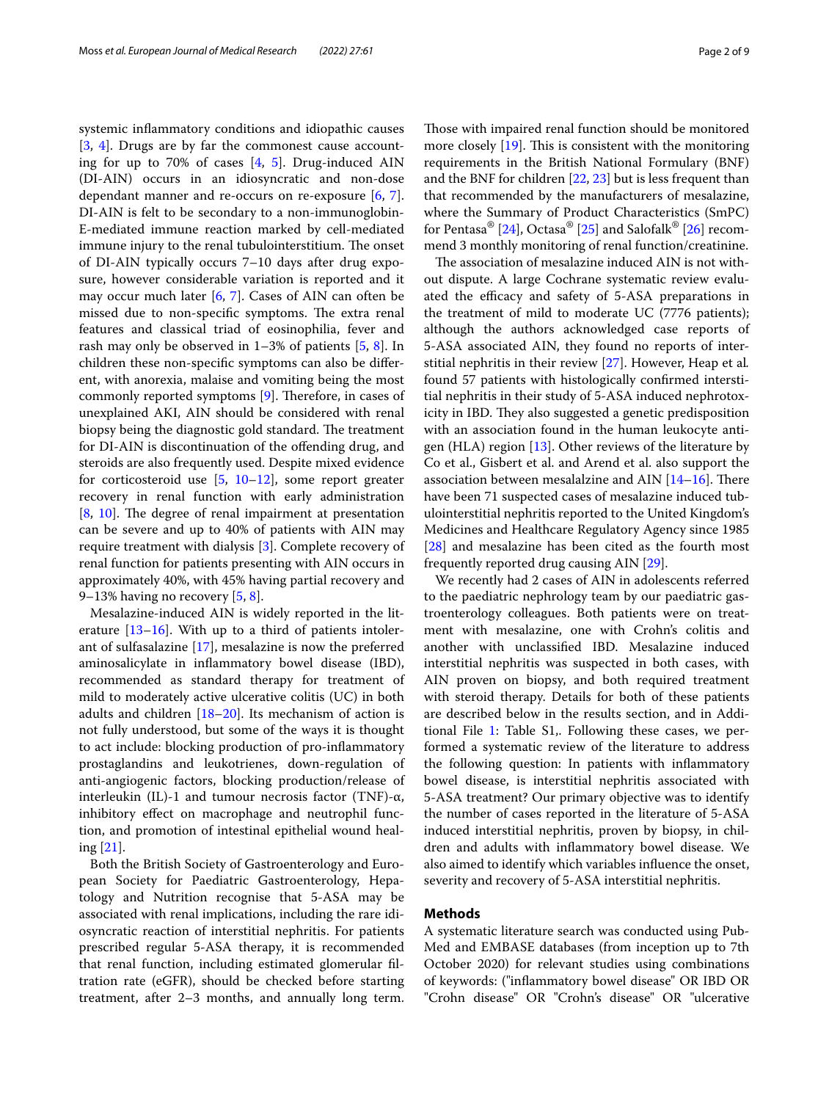systemic infammatory conditions and idiopathic causes [[3,](#page-6-2) [4\]](#page-7-0). Drugs are by far the commonest cause accounting for up to 70% of cases [\[4](#page-7-0), [5](#page-7-1)]. Drug-induced AIN (DI-AIN) occurs in an idiosyncratic and non-dose dependant manner and re-occurs on re-exposure [[6](#page-7-2), [7](#page-7-3)]. DI-AIN is felt to be secondary to a non-immunoglobin-E-mediated immune reaction marked by cell-mediated immune injury to the renal tubulointerstitium. The onset of DI-AIN typically occurs 7–10 days after drug exposure, however considerable variation is reported and it may occur much later [[6,](#page-7-2) [7](#page-7-3)]. Cases of AIN can often be missed due to non-specific symptoms. The extra renal features and classical triad of eosinophilia, fever and rash may only be observed in  $1-3\%$  of patients  $[5, 8]$  $[5, 8]$  $[5, 8]$  $[5, 8]$ . In children these non-specifc symptoms can also be diferent, with anorexia, malaise and vomiting being the most commonly reported symptoms  $[9]$  $[9]$ . Therefore, in cases of unexplained AKI, AIN should be considered with renal biopsy being the diagnostic gold standard. The treatment for DI-AIN is discontinuation of the ofending drug, and steroids are also frequently used. Despite mixed evidence for corticosteroid use  $[5, 10-12]$  $[5, 10-12]$  $[5, 10-12]$  $[5, 10-12]$  $[5, 10-12]$ , some report greater recovery in renal function with early administration  $[8, 10]$  $[8, 10]$  $[8, 10]$  $[8, 10]$ . The degree of renal impairment at presentation can be severe and up to 40% of patients with AIN may require treatment with dialysis [[3\]](#page-6-2). Complete recovery of renal function for patients presenting with AIN occurs in approximately 40%, with 45% having partial recovery and 9–13% having no recovery [[5,](#page-7-1) [8](#page-7-4)].

Mesalazine-induced AIN is widely reported in the literature [[13–](#page-7-8)[16\]](#page-7-9). With up to a third of patients intolerant of sulfasalazine [\[17\]](#page-7-10), mesalazine is now the preferred aminosalicylate in infammatory bowel disease (IBD), recommended as standard therapy for treatment of mild to moderately active ulcerative colitis (UC) in both adults and children  $[18–20]$  $[18–20]$ . Its mechanism of action is not fully understood, but some of the ways it is thought to act include: blocking production of pro-infammatory prostaglandins and leukotrienes, down-regulation of anti-angiogenic factors, blocking production/release of interleukin (IL)-1 and tumour necrosis factor (TNF)-α, inhibitory efect on macrophage and neutrophil function, and promotion of intestinal epithelial wound healing [[21\]](#page-7-13).

Both the British Society of Gastroenterology and European Society for Paediatric Gastroenterology, Hepatology and Nutrition recognise that 5-ASA may be associated with renal implications, including the rare idiosyncratic reaction of interstitial nephritis. For patients prescribed regular 5-ASA therapy, it is recommended that renal function, including estimated glomerular fltration rate (eGFR), should be checked before starting treatment, after 2–3 months, and annually long term.

Those with impaired renal function should be monitored more closely  $[19]$  $[19]$ . This is consistent with the monitoring requirements in the British National Formulary (BNF) and the BNF for children [[22,](#page-7-15) [23\]](#page-7-16) but is less frequent than that recommended by the manufacturers of mesalazine, where the Summary of Product Characteristics (SmPC) for Pentasa®  $[24]$  $[24]$ , Octasa®  $[25]$  $[25]$  and Salofalk®  $[26]$  $[26]$  $[26]$  recommend 3 monthly monitoring of renal function/creatinine.

The association of mesalazine induced AIN is not without dispute. A large Cochrane systematic review evaluated the efficacy and safety of 5-ASA preparations in the treatment of mild to moderate UC (7776 patients); although the authors acknowledged case reports of 5-ASA associated AIN, they found no reports of interstitial nephritis in their review [\[27](#page-7-20)]. However, Heap et al*.* found 57 patients with histologically confrmed interstitial nephritis in their study of 5-ASA induced nephrotoxicity in IBD. They also suggested a genetic predisposition with an association found in the human leukocyte antigen (HLA) region [\[13](#page-7-8)]. Other reviews of the literature by Co et al., Gisbert et al. and Arend et al. also support the association between mesalalzine and AIN  $[14–16]$  $[14–16]$  $[14–16]$ . There have been 71 suspected cases of mesalazine induced tubulointerstitial nephritis reported to the United Kingdom's Medicines and Healthcare Regulatory Agency since 1985 [[28\]](#page-7-22) and mesalazine has been cited as the fourth most frequently reported drug causing AIN [[29\]](#page-7-23).

We recently had 2 cases of AIN in adolescents referred to the paediatric nephrology team by our paediatric gastroenterology colleagues. Both patients were on treatment with mesalazine, one with Crohn's colitis and another with unclassifed IBD. Mesalazine induced interstitial nephritis was suspected in both cases, with AIN proven on biopsy, and both required treatment with steroid therapy. Details for both of these patients are described below in the results section, and in Additional File [1](#page-6-3): Table S1,. Following these cases, we performed a systematic review of the literature to address the following question: In patients with infammatory bowel disease, is interstitial nephritis associated with 5-ASA treatment? Our primary objective was to identify the number of cases reported in the literature of 5-ASA induced interstitial nephritis, proven by biopsy, in children and adults with infammatory bowel disease. We also aimed to identify which variables infuence the onset, severity and recovery of 5-ASA interstitial nephritis.

# **Methods**

A systematic literature search was conducted using Pub-Med and EMBASE databases (from inception up to 7th October 2020) for relevant studies using combinations of keywords: ("infammatory bowel disease" OR IBD OR "Crohn disease" OR "Crohn's disease" OR "ulcerative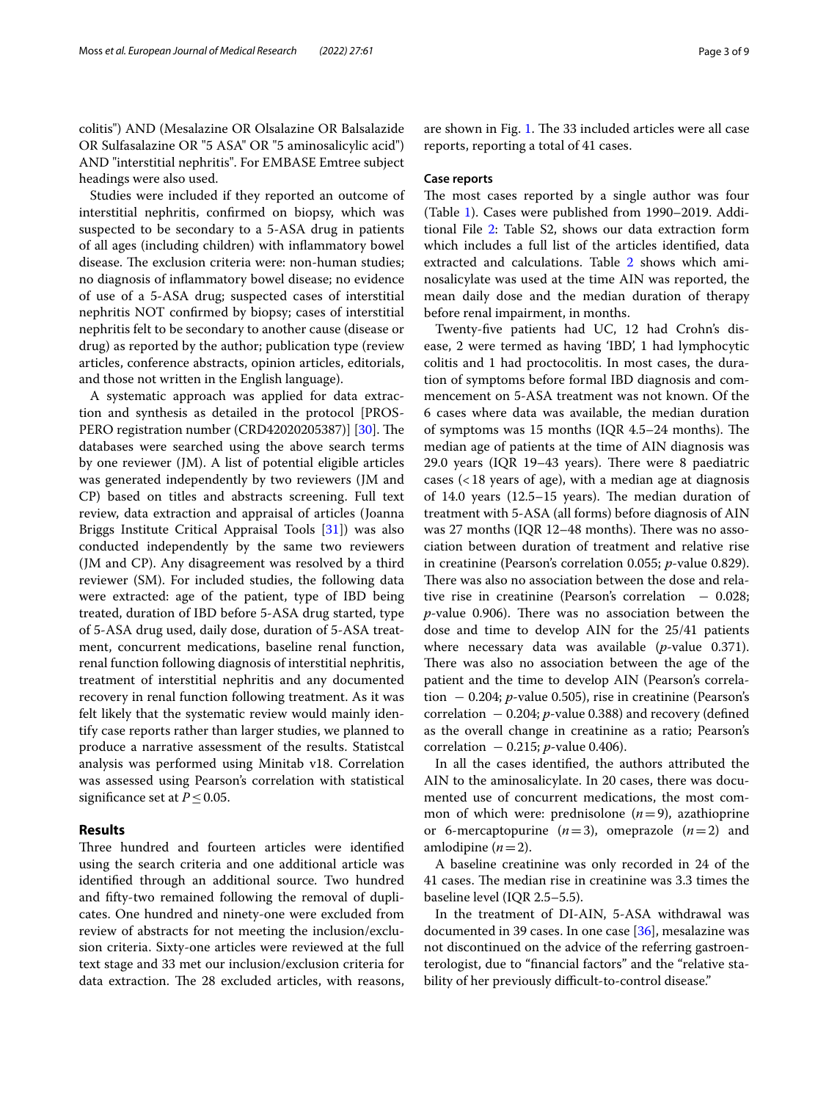colitis") AND (Mesalazine OR Olsalazine OR Balsalazide OR Sulfasalazine OR "5 ASA" OR "5 aminosalicylic acid") AND "interstitial nephritis". For EMBASE Emtree subject headings were also used.

Studies were included if they reported an outcome of interstitial nephritis, confrmed on biopsy, which was suspected to be secondary to a 5-ASA drug in patients of all ages (including children) with infammatory bowel disease. The exclusion criteria were: non-human studies; no diagnosis of infammatory bowel disease; no evidence of use of a 5-ASA drug; suspected cases of interstitial nephritis NOT confrmed by biopsy; cases of interstitial nephritis felt to be secondary to another cause (disease or drug) as reported by the author; publication type (review articles, conference abstracts, opinion articles, editorials, and those not written in the English language).

A systematic approach was applied for data extraction and synthesis as detailed in the protocol [PROS-PERO registration number (CRD42020205387)] [[30](#page-7-24)]. The databases were searched using the above search terms by one reviewer (JM). A list of potential eligible articles was generated independently by two reviewers (JM and CP) based on titles and abstracts screening. Full text review, data extraction and appraisal of articles (Joanna Briggs Institute Critical Appraisal Tools [\[31\]](#page-7-25)) was also conducted independently by the same two reviewers (JM and CP). Any disagreement was resolved by a third reviewer (SM). For included studies, the following data were extracted: age of the patient, type of IBD being treated, duration of IBD before 5-ASA drug started, type of 5-ASA drug used, daily dose, duration of 5-ASA treatment, concurrent medications, baseline renal function, renal function following diagnosis of interstitial nephritis, treatment of interstitial nephritis and any documented recovery in renal function following treatment. As it was felt likely that the systematic review would mainly identify case reports rather than larger studies, we planned to produce a narrative assessment of the results. Statistcal analysis was performed using Minitab v18. Correlation was assessed using Pearson's correlation with statistical significance set at  $P \leq 0.05$ .

# **Results**

Three hundred and fourteen articles were identified using the search criteria and one additional article was identifed through an additional source. Two hundred and ffty-two remained following the removal of duplicates. One hundred and ninety-one were excluded from review of abstracts for not meeting the inclusion/exclusion criteria. Sixty-one articles were reviewed at the full text stage and 33 met our inclusion/exclusion criteria for data extraction. The 28 excluded articles, with reasons, are shown in Fig. [1](#page-3-0). The 33 included articles were all case reports, reporting a total of 41 cases.

# **Case reports**

The most cases reported by a single author was four (Table [1\)](#page-4-0). Cases were published from 1990–2019. Additional File [2:](#page-6-4) Table S2, shows our data extraction form which includes a full list of the articles identifed, data extracted and calculations. Table [2](#page-4-1) shows which aminosalicylate was used at the time AIN was reported, the mean daily dose and the median duration of therapy before renal impairment, in months.

Twenty-fve patients had UC, 12 had Crohn's disease, 2 were termed as having 'IBD', 1 had lymphocytic colitis and 1 had proctocolitis. In most cases, the duration of symptoms before formal IBD diagnosis and commencement on 5-ASA treatment was not known. Of the 6 cases where data was available, the median duration of symptoms was 15 months (IQR  $4.5-24$  months). The median age of patients at the time of AIN diagnosis was 29.0 years (IQR  $19-43$  years). There were 8 paediatric cases  $\left($  < 18 years of age), with a median age at diagnosis of 14.0 years  $(12.5-15$  years). The median duration of treatment with 5-ASA (all forms) before diagnosis of AIN was 27 months (IQR 12-48 months). There was no association between duration of treatment and relative rise in creatinine (Pearson's correlation 0.055; *p*-value 0.829). There was also no association between the dose and relative rise in creatinine (Pearson's correlation  $-0.028$ ; *p*-value 0.906). There was no association between the dose and time to develop AIN for the 25/41 patients where necessary data was available (*p*-value 0.371). There was also no association between the age of the patient and the time to develop AIN (Pearson's correlation  $-0.204$ ; *p*-value 0.505), rise in creatinine (Pearson's correlation  $-0.204$ ; *p*-value 0.388) and recovery (defined as the overall change in creatinine as a ratio; Pearson's correlation  $-0.215$ ; *p*-value 0.406).

In all the cases identifed, the authors attributed the AIN to the aminosalicylate. In 20 cases, there was documented use of concurrent medications, the most common of which were: prednisolone  $(n=9)$ , azathioprine or 6-mercaptopurine  $(n=3)$ , omeprazole  $(n=2)$  and amlodipine  $(n=2)$ .

A baseline creatinine was only recorded in 24 of the 41 cases. The median rise in creatinine was 3.3 times the baseline level (IQR 2.5–5.5).

In the treatment of DI-AIN, 5-ASA withdrawal was documented in 39 cases. In one case [\[36](#page-7-26)], mesalazine was not discontinued on the advice of the referring gastroenterologist, due to "fnancial factors" and the "relative stability of her previously difficult-to-control disease."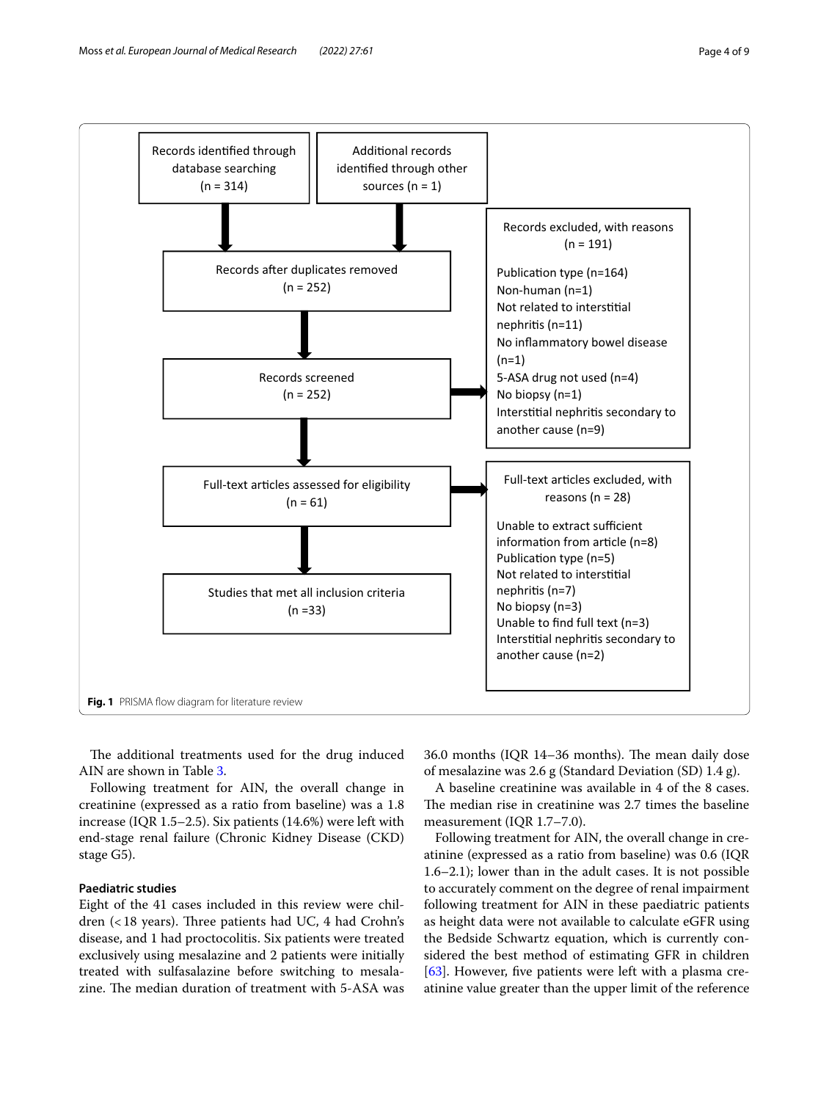

<span id="page-3-0"></span>The additional treatments used for the drug induced AIN are shown in Table [3.](#page-5-0)

Following treatment for AIN, the overall change in creatinine (expressed as a ratio from baseline) was a 1.8 increase (IQR 1.5–2.5). Six patients (14.6%) were left with end-stage renal failure (Chronic Kidney Disease (CKD) stage G5).

# **Paediatric studies**

Eight of the 41 cases included in this review were children  $\left($  < 18 years). Three patients had UC, 4 had Crohn's disease, and 1 had proctocolitis. Six patients were treated exclusively using mesalazine and 2 patients were initially treated with sulfasalazine before switching to mesalazine. The median duration of treatment with 5-ASA was

36.0 months (IQR 14-36 months). The mean daily dose of mesalazine was 2.6 g (Standard Deviation (SD) 1.4 g).

A baseline creatinine was available in 4 of the 8 cases. The median rise in creatinine was 2.7 times the baseline measurement (IQR 1.7–7.0).

Following treatment for AIN, the overall change in creatinine (expressed as a ratio from baseline) was 0.6 (IQR 1.6–2.1); lower than in the adult cases. It is not possible to accurately comment on the degree of renal impairment following treatment for AIN in these paediatric patients as height data were not available to calculate eGFR using the Bedside Schwartz equation, which is currently considered the best method of estimating GFR in children [[63\]](#page-8-0). However, five patients were left with a plasma creatinine value greater than the upper limit of the reference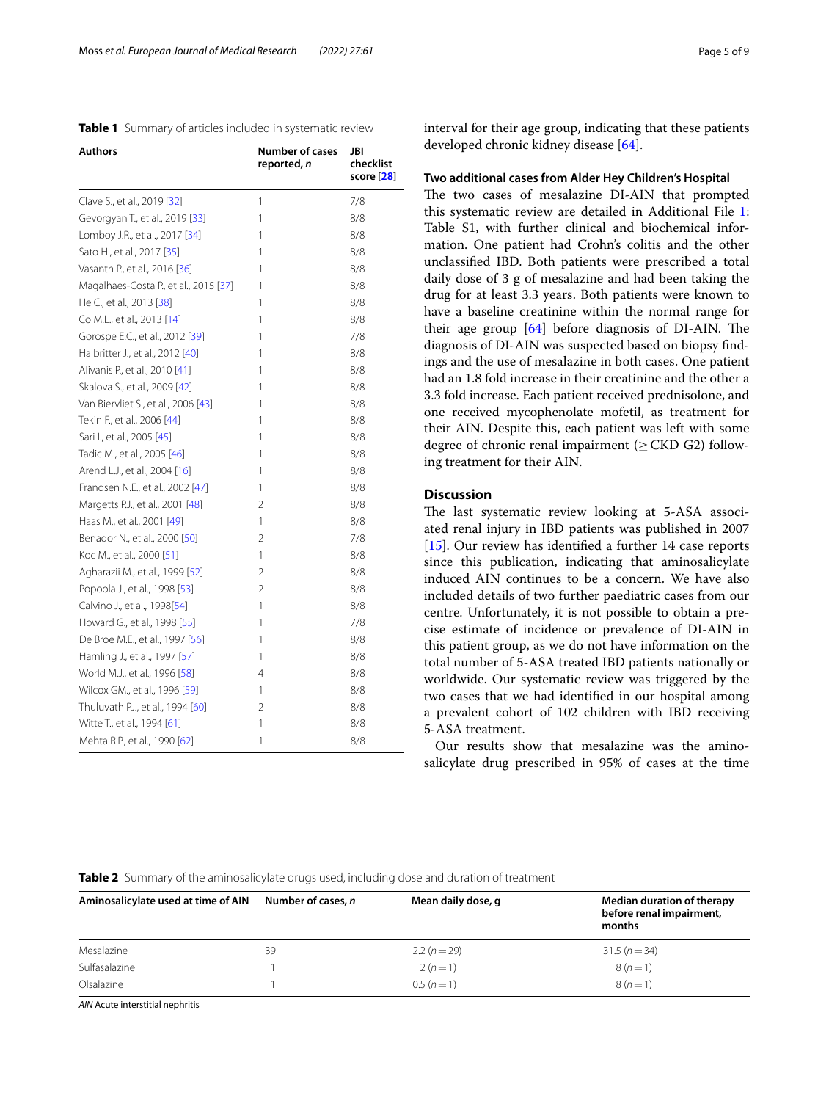<span id="page-4-0"></span>

|  |  | Table 1 Summary of articles included in systematic review |  |
|--|--|-----------------------------------------------------------|--|
|--|--|-----------------------------------------------------------|--|

| Authors                               | <b>Number of cases</b><br>reported, <i>n</i> | JBI<br>checklist<br>score [28] |
|---------------------------------------|----------------------------------------------|--------------------------------|
| Clave S., et al., 2019 [32]           | 1                                            | 7/8                            |
| Gevorgyan T., et al., 2019 [33]       | 1                                            | 8/8                            |
| Lomboy J.R., et al., 2017 [34]        | 1                                            | 8/8                            |
| Sato H., et al., 2017 [35]            | 1                                            | 8/8                            |
| Vasanth P., et al., 2016 [36]         | 1                                            | 8/8                            |
| Magalhaes-Costa P., et al., 2015 [37] | 1                                            | 8/8                            |
| He C., et al., 2013 [38]              | 1                                            | 8/8                            |
| Co M.L., et al., 2013 [14]            | 1                                            | 8/8                            |
| Gorospe E.C., et al., 2012 [39]       | 1                                            | 7/8                            |
| Halbritter J., et al., 2012 [40]      | 1                                            | 8/8                            |
| Alivanis P., et al., 2010 [41]        | 1                                            | 8/8                            |
| Skalova S., et al., 2009 [42]         | 1                                            | 8/8                            |
| Van Biervliet S., et al., 2006 [43]   | 1                                            | 8/8                            |
| Tekin F., et al., 2006 [44]           | 1                                            | 8/8                            |
| Sari I., et al., 2005 [45]            | 1                                            | 8/8                            |
| Tadic M., et al., 2005 [46]           | 1                                            | 8/8                            |
| Arend L.J., et al., 2004 [16]         | 1                                            | 8/8                            |
| Frandsen N.E., et al., 2002 [47]      | 1                                            | 8/8                            |
| Margetts P.J., et al., 2001 [48]      | 2                                            | 8/8                            |
| Haas M., et al., 2001 [49]            | 1                                            | 8/8                            |
| Benador N., et al., 2000 [50]         | 2                                            | 7/8                            |
| Koc M., et al., 2000 [51]             | 1                                            | 8/8                            |
| Agharazii M., et al., 1999 [52]       | 2                                            | 8/8                            |
| Popoola J., et al., 1998 [53]         | 2                                            | 8/8                            |
| Calvino J., et al., 1998[54]          | 1                                            | 8/8                            |
| Howard G., et al., 1998 [55]          | 1                                            | 7/8                            |
| De Broe M.E., et al., 1997 [56]       | 1                                            | 8/8                            |
| Hamling J., et al., 1997 [57]         | 1                                            | 8/8                            |
| World M.J., et al., 1996 [58]         | 4                                            | 8/8                            |
| Wilcox GM., et al., 1996 [59]         | 1                                            | 8/8                            |
| Thuluvath PJ., et al., 1994 [60]      | 2                                            | 8/8                            |
| Witte T., et al., 1994 [61]           | 1                                            | 8/8                            |
| Mehta R.P., et al., 1990 [62]         | 1                                            | 8/8                            |

interval for their age group, indicating that these patients developed chronic kidney disease [[64\]](#page-8-1).

### **Two additional cases from Alder Hey Children's Hospital**

The two cases of mesalazine DI-AIN that prompted this systematic review are detailed in Additional File [1](#page-6-3): Table S1, with further clinical and biochemical information. One patient had Crohn's colitis and the other unclassifed IBD. Both patients were prescribed a total daily dose of 3 g of mesalazine and had been taking the drug for at least 3.3 years. Both patients were known to have a baseline creatinine within the normal range for their age group  $[64]$  $[64]$  before diagnosis of DI-AIN. The diagnosis of DI-AIN was suspected based on biopsy fndings and the use of mesalazine in both cases. One patient had an 1.8 fold increase in their creatinine and the other a 3.3 fold increase. Each patient received prednisolone, and one received mycophenolate mofetil, as treatment for their AIN. Despite this, each patient was left with some degree of chronic renal impairment ( $\geq$  CKD G2) following treatment for their AIN.

# **Discussion**

The last systematic review looking at 5-ASA associated renal injury in IBD patients was published in 2007 [[15\]](#page-7-27). Our review has identified a further 14 case reports since this publication, indicating that aminosalicylate induced AIN continues to be a concern. We have also included details of two further paediatric cases from our centre. Unfortunately, it is not possible to obtain a precise estimate of incidence or prevalence of DI-AIN in this patient group, as we do not have information on the total number of 5-ASA treated IBD patients nationally or worldwide. Our systematic review was triggered by the two cases that we had identifed in our hospital among a prevalent cohort of 102 children with IBD receiving 5-ASA treatment.

Our results show that mesalazine was the aminosalicylate drug prescribed in 95% of cases at the time

### <span id="page-4-1"></span>**Table 2** Summary of the aminosalicylate drugs used, including dose and duration of treatment

| Aminosalicylate used at time of AIN | Number of cases, n | Mean daily dose, g | Median duration of therapy<br>before renal impairment,<br>months |
|-------------------------------------|--------------------|--------------------|------------------------------------------------------------------|
| Mesalazine                          | 39                 | $2.2(n=29)$        | $31.5(n=34)$                                                     |
| Sulfasalazine                       |                    | $2(n=1)$           | $8(n=1)$                                                         |
| Olsalazine                          |                    | $0.5(n=1)$         | $8(n=1)$                                                         |

*AIN* Acute interstitial nephritis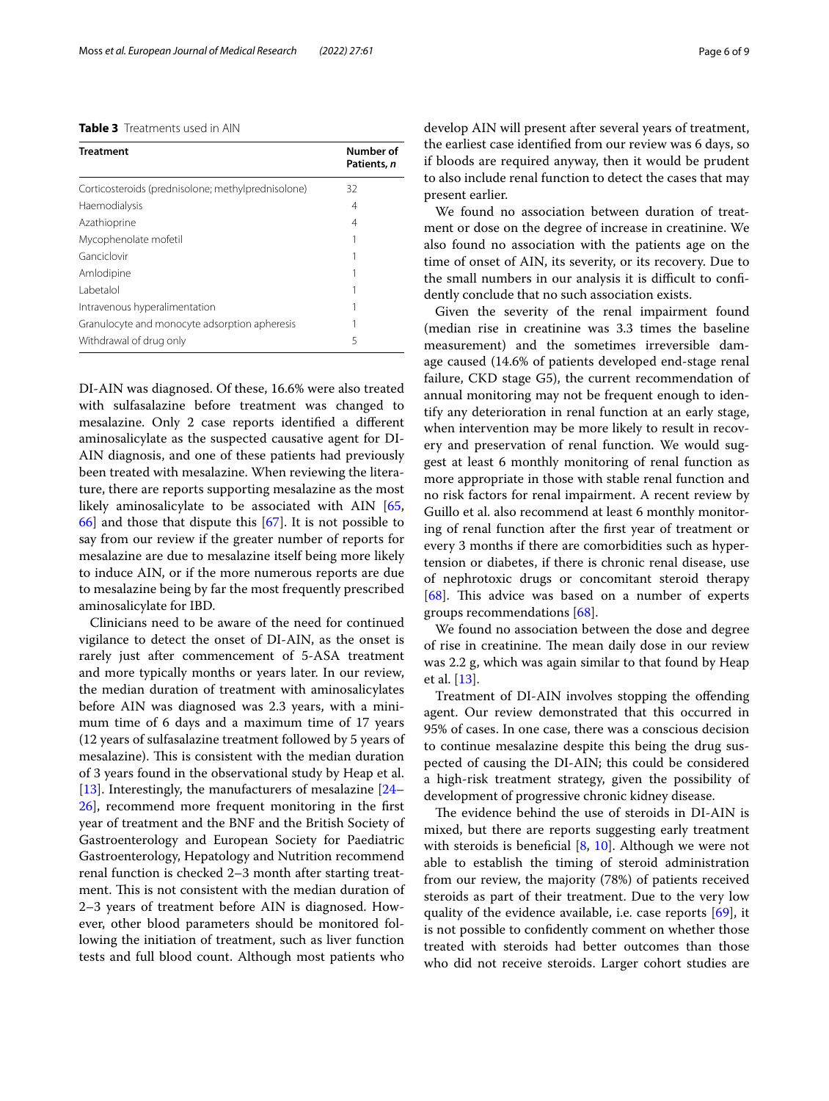<span id="page-5-0"></span>

| <b>Table 3</b> Treatments used in AIN |
|---------------------------------------|
|---------------------------------------|

| <b>Treatment</b>                                   | Number of<br>Patients, n |
|----------------------------------------------------|--------------------------|
| Corticosteroids (prednisolone; methylprednisolone) | 32                       |
| Haemodialysis                                      | 4                        |
| Azathioprine                                       | 4                        |
| Mycophenolate mofetil                              |                          |
| Ganciclovir                                        |                          |
| Amlodipine                                         |                          |
| Labetalol                                          |                          |
| Intravenous hyperalimentation                      |                          |
| Granulocyte and monocyte adsorption apheresis      |                          |
| Withdrawal of drug only                            | 5                        |

DI-AIN was diagnosed. Of these, 16.6% were also treated with sulfasalazine before treatment was changed to mesalazine. Only 2 case reports identifed a diferent aminosalicylate as the suspected causative agent for DI-AIN diagnosis, and one of these patients had previously been treated with mesalazine. When reviewing the literature, there are reports supporting mesalazine as the most likely aminosalicylate to be associated with AIN [\[65](#page-8-19), [66\]](#page-8-20) and those that dispute this [\[67\]](#page-8-21). It is not possible to say from our review if the greater number of reports for mesalazine are due to mesalazine itself being more likely to induce AIN, or if the more numerous reports are due to mesalazine being by far the most frequently prescribed aminosalicylate for IBD.

Clinicians need to be aware of the need for continued vigilance to detect the onset of DI-AIN, as the onset is rarely just after commencement of 5-ASA treatment and more typically months or years later. In our review, the median duration of treatment with aminosalicylates before AIN was diagnosed was 2.3 years, with a minimum time of 6 days and a maximum time of 17 years (12 years of sulfasalazine treatment followed by 5 years of mesalazine). This is consistent with the median duration of 3 years found in the observational study by Heap et al. [[13\]](#page-7-8). Interestingly, the manufacturers of mesalazine [[24–](#page-7-17) [26\]](#page-7-19), recommend more frequent monitoring in the frst year of treatment and the BNF and the British Society of Gastroenterology and European Society for Paediatric Gastroenterology, Hepatology and Nutrition recommend renal function is checked 2–3 month after starting treatment. This is not consistent with the median duration of 2–3 years of treatment before AIN is diagnosed. However, other blood parameters should be monitored following the initiation of treatment, such as liver function tests and full blood count. Although most patients who develop AIN will present after several years of treatment, the earliest case identifed from our review was 6 days, so if bloods are required anyway, then it would be prudent to also include renal function to detect the cases that may present earlier.

We found no association between duration of treatment or dose on the degree of increase in creatinine. We also found no association with the patients age on the time of onset of AIN, its severity, or its recovery. Due to the small numbers in our analysis it is difficult to confidently conclude that no such association exists.

Given the severity of the renal impairment found (median rise in creatinine was 3.3 times the baseline measurement) and the sometimes irreversible damage caused (14.6% of patients developed end-stage renal failure, CKD stage G5), the current recommendation of annual monitoring may not be frequent enough to identify any deterioration in renal function at an early stage, when intervention may be more likely to result in recovery and preservation of renal function. We would suggest at least 6 monthly monitoring of renal function as more appropriate in those with stable renal function and no risk factors for renal impairment. A recent review by Guillo et al. also recommend at least 6 monthly monitoring of renal function after the frst year of treatment or every 3 months if there are comorbidities such as hypertension or diabetes, if there is chronic renal disease, use of nephrotoxic drugs or concomitant steroid therapy [ $68$ ]. This advice was based on a number of experts groups recommendations [[68\]](#page-8-22).

We found no association between the dose and degree of rise in creatinine. The mean daily dose in our review was 2.2 g, which was again similar to that found by Heap et al. [[13](#page-7-8)].

Treatment of DI-AIN involves stopping the ofending agent. Our review demonstrated that this occurred in 95% of cases. In one case, there was a conscious decision to continue mesalazine despite this being the drug suspected of causing the DI-AIN; this could be considered a high-risk treatment strategy, given the possibility of development of progressive chronic kidney disease.

The evidence behind the use of steroids in DI-AIN is mixed, but there are reports suggesting early treatment with steroids is beneficial [[8,](#page-7-4) [10\]](#page-7-6). Although we were not able to establish the timing of steroid administration from our review, the majority (78%) of patients received steroids as part of their treatment. Due to the very low quality of the evidence available, i.e. case reports [\[69](#page-8-23)], it is not possible to confdently comment on whether those treated with steroids had better outcomes than those who did not receive steroids. Larger cohort studies are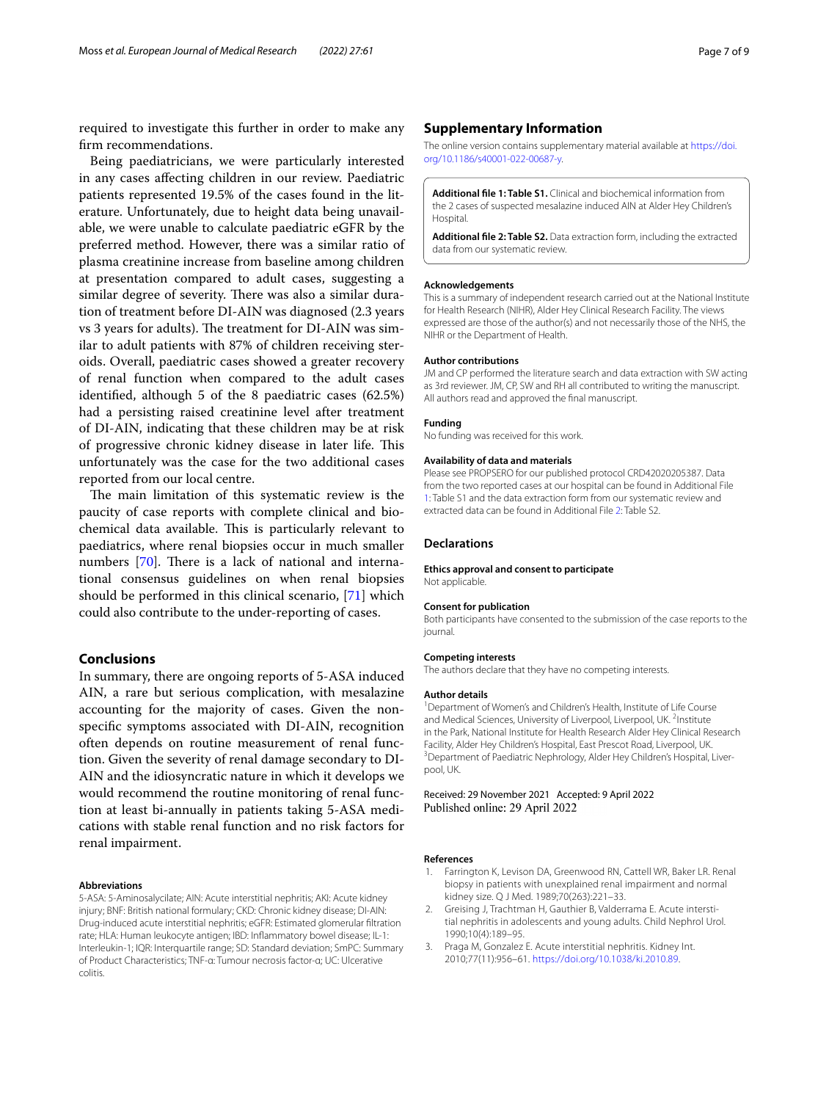required to investigate this further in order to make any frm recommendations.

Being paediatricians, we were particularly interested in any cases afecting children in our review. Paediatric patients represented 19.5% of the cases found in the literature. Unfortunately, due to height data being unavailable, we were unable to calculate paediatric eGFR by the preferred method. However, there was a similar ratio of plasma creatinine increase from baseline among children at presentation compared to adult cases, suggesting a similar degree of severity. There was also a similar duration of treatment before DI-AIN was diagnosed (2.3 years vs 3 years for adults). The treatment for DI-AIN was similar to adult patients with 87% of children receiving steroids. Overall, paediatric cases showed a greater recovery of renal function when compared to the adult cases identifed, although 5 of the 8 paediatric cases (62.5%) had a persisting raised creatinine level after treatment of DI-AIN, indicating that these children may be at risk of progressive chronic kidney disease in later life. This unfortunately was the case for the two additional cases reported from our local centre.

The main limitation of this systematic review is the paucity of case reports with complete clinical and biochemical data available. This is particularly relevant to paediatrics, where renal biopsies occur in much smaller numbers  $[70]$  $[70]$ . There is a lack of national and international consensus guidelines on when renal biopsies should be performed in this clinical scenario, [[71\]](#page-8-25) which could also contribute to the under-reporting of cases.

# **Conclusions**

In summary, there are ongoing reports of 5-ASA induced AIN, a rare but serious complication, with mesalazine accounting for the majority of cases. Given the nonspecifc symptoms associated with DI-AIN, recognition often depends on routine measurement of renal function. Given the severity of renal damage secondary to DI-AIN and the idiosyncratic nature in which it develops we would recommend the routine monitoring of renal function at least bi-annually in patients taking 5-ASA medications with stable renal function and no risk factors for renal impairment.

## **Abbreviations**

5-ASA: 5-Aminosalycilate; AIN: Acute interstitial nephritis; AKI: Acute kidney injury; BNF: British national formulary; CKD: Chronic kidney disease; DI-AIN: Drug-induced acute interstitial nephritis; eGFR: Estimated glomerular fltration rate; HLA: Human leukocyte antigen; IBD: Infammatory bowel disease; IL-1: Interleukin-1; IQR: Interquartile range; SD: Standard deviation; SmPC: Summary of Product Characteristics; TNF-α: Tumour necrosis factor-α; UC: Ulcerative colitis.

# **Supplementary Information**

The online version contains supplementary material available at [https://doi.](https://doi.org/10.1186/s40001-022-00687-y) [org/10.1186/s40001-022-00687-y.](https://doi.org/10.1186/s40001-022-00687-y)

<span id="page-6-3"></span>**Additional fle 1: Table S1.** Clinical and biochemical information from the 2 cases of suspected mesalazine induced AIN at Alder Hey Children's Hospital.

<span id="page-6-4"></span>**Additional fle 2: Table S2.** Data extraction form, including the extracted data from our systematic review.

#### **Acknowledgements**

This is a summary of independent research carried out at the National Institute for Health Research (NIHR), Alder Hey Clinical Research Facility. The views expressed are those of the author(s) and not necessarily those of the NHS, the NIHR or the Department of Health.

### **Author contributions**

JM and CP performed the literature search and data extraction with SW acting as 3rd reviewer. JM, CP, SW and RH all contributed to writing the manuscript. All authors read and approved the fnal manuscript.

## **Funding**

No funding was received for this work.

#### **Availability of data and materials**

Please see PROPSERO for our published protocol CRD42020205387. Data from the two reported cases at our hospital can be found in Additional File [1](#page-6-3): Table S1 and the data extraction form from our systematic review and extracted data can be found in Additional File [2](#page-6-4): Table S2.

### **Declarations**

#### **Ethics approval and consent to participate**

Not applicable.

### **Consent for publication**

Both participants have consented to the submission of the case reports to the journal.

### **Competing interests**

The authors declare that they have no competing interests.

#### **Author details**

<sup>1</sup> Department of Women's and Children's Health, Institute of Life Course and Medical Sciences, University of Liverpool, Liverpool, UK.<sup>2</sup> Institute in the Park, National Institute for Health Research Alder Hey Clinical Research Facility, Alder Hey Children's Hospital, East Prescot Road, Liverpool, UK. <sup>3</sup> Department of Paediatric Nephrology, Alder Hey Children's Hospital, Liverpool, UK.

Received: 29 November 2021 Accepted: 9 April 2022 Published online: 29 April 2022

#### **References**

- <span id="page-6-0"></span>1. Farrington K, Levison DA, Greenwood RN, Cattell WR, Baker LR. Renal biopsy in patients with unexplained renal impairment and normal kidney size. Q J Med. 1989;70(263):221–33.
- <span id="page-6-1"></span>2. Greising J, Trachtman H, Gauthier B, Valderrama E. Acute interstitial nephritis in adolescents and young adults. Child Nephrol Urol. 1990;10(4):189–95.
- <span id="page-6-2"></span>3. Praga M, Gonzalez E. Acute interstitial nephritis. Kidney Int. 2010;77(11):956–61. [https://doi.org/10.1038/ki.2010.89.](https://doi.org/10.1038/ki.2010.89)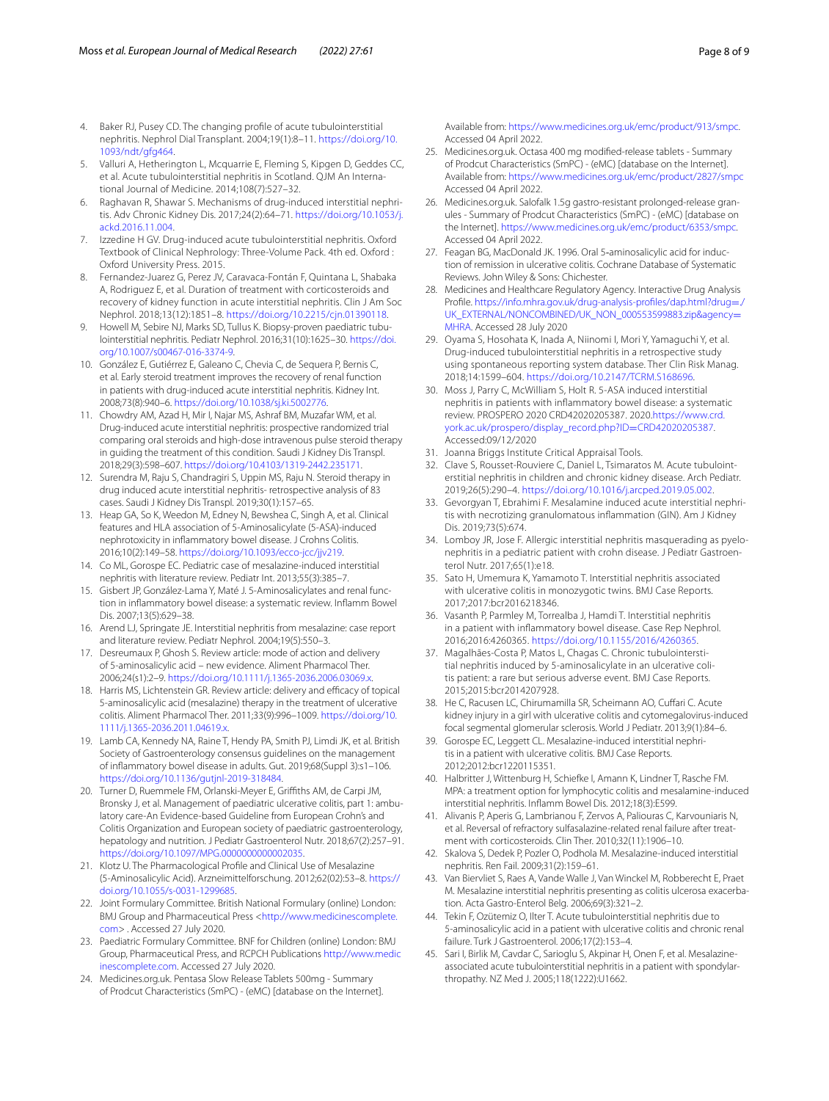- <span id="page-7-0"></span>4. Baker RJ, Pusey CD. The changing profle of acute tubulointerstitial nephritis. Nephrol Dial Transplant. 2004;19(1):8–11. [https://doi.org/10.](https://doi.org/10.1093/ndt/gfg464) [1093/ndt/gfg464.](https://doi.org/10.1093/ndt/gfg464)
- <span id="page-7-1"></span>5. Valluri A, Hetherington L, Mcquarrie E, Fleming S, Kipgen D, Geddes CC, et al. Acute tubulointerstitial nephritis in Scotland. QJM An International Journal of Medicine. 2014;108(7):527–32.
- <span id="page-7-2"></span>6. Raghavan R, Shawar S. Mechanisms of drug-induced interstitial nephritis. Adv Chronic Kidney Dis. 2017;24(2):64–71. [https://doi.org/10.1053/j.](https://doi.org/10.1053/j.ackd.2016.11.004) [ackd.2016.11.004](https://doi.org/10.1053/j.ackd.2016.11.004).
- <span id="page-7-3"></span>7. Izzedine H GV. Drug-induced acute tubulointerstitial nephritis. Oxford Textbook of Clinical Nephrology: Three-Volume Pack. 4th ed. Oxford : Oxford University Press. 2015.
- <span id="page-7-4"></span>8. Fernandez-Juarez G, Perez JV, Caravaca-Fontán F, Quintana L, Shabaka A, Rodriguez E, et al. Duration of treatment with corticosteroids and recovery of kidney function in acute interstitial nephritis. Clin J Am Soc Nephrol. 2018;13(12):1851–8. [https://doi.org/10.2215/cjn.01390118.](https://doi.org/10.2215/cjn.01390118)
- <span id="page-7-5"></span>9. Howell M, Sebire NJ, Marks SD, Tullus K. Biopsy-proven paediatric tubulointerstitial nephritis. Pediatr Nephrol. 2016;31(10):1625–30. [https://doi.](https://doi.org/10.1007/s00467-016-3374-9) [org/10.1007/s00467-016-3374-9.](https://doi.org/10.1007/s00467-016-3374-9)
- <span id="page-7-6"></span>10. González E, Gutiérrez E, Galeano C, Chevia C, de Sequera P, Bernis C, et al. Early steroid treatment improves the recovery of renal function in patients with drug-induced acute interstitial nephritis. Kidney Int. 2008;73(8):940–6. [https://doi.org/10.1038/sj.ki.5002776.](https://doi.org/10.1038/sj.ki.5002776)
- 11. Chowdry AM, Azad H, Mir I, Najar MS, Ashraf BM, Muzafar WM, et al. Drug-induced acute interstitial nephritis: prospective randomized trial comparing oral steroids and high-dose intravenous pulse steroid therapy in guiding the treatment of this condition. Saudi J Kidney Dis Transpl. 2018;29(3):598–607. <https://doi.org/10.4103/1319-2442.235171>.
- <span id="page-7-7"></span>12. Surendra M, Raju S, Chandragiri S, Uppin MS, Raju N. Steroid therapy in drug induced acute interstitial nephritis- retrospective analysis of 83 cases. Saudi J Kidney Dis Transpl. 2019;30(1):157–65.
- <span id="page-7-8"></span>13. Heap GA, So K, Weedon M, Edney N, Bewshea C, Singh A, et al. Clinical features and HLA association of 5-Aminosalicylate (5-ASA)-induced nephrotoxicity in infammatory bowel disease. J Crohns Colitis. 2016;10(2):149–58. [https://doi.org/10.1093/ecco-jcc/jjv219.](https://doi.org/10.1093/ecco-jcc/jjv219)
- <span id="page-7-21"></span>14. Co ML, Gorospe EC. Pediatric case of mesalazine-induced interstitial nephritis with literature review. Pediatr Int. 2013;55(3):385–7.
- <span id="page-7-27"></span>15. Gisbert JP, González-Lama Y, Maté J. 5-Aminosalicylates and renal function in infammatory bowel disease: a systematic review. Infamm Bowel Dis. 2007;13(5):629–38.
- <span id="page-7-9"></span>16. Arend LJ, Springate JE. Interstitial nephritis from mesalazine: case report and literature review. Pediatr Nephrol. 2004;19(5):550–3.
- <span id="page-7-10"></span>17. Desreumaux P, Ghosh S. Review article: mode of action and delivery of 5-aminosalicylic acid – new evidence. Aliment Pharmacol Ther. 2006;24(s1):2–9. [https://doi.org/10.1111/j.1365-2036.2006.03069.x.](https://doi.org/10.1111/j.1365-2036.2006.03069.x)
- <span id="page-7-11"></span>18. Harris MS, Lichtenstein GR. Review article: delivery and efficacy of topical 5-aminosalicylic acid (mesalazine) therapy in the treatment of ulcerative colitis. Aliment Pharmacol Ther. 2011;33(9):996–1009. [https://doi.org/10.](https://doi.org/10.1111/j.1365-2036.2011.04619.x) [1111/j.1365-2036.2011.04619.x](https://doi.org/10.1111/j.1365-2036.2011.04619.x).
- <span id="page-7-14"></span>19. Lamb CA, Kennedy NA, Raine T, Hendy PA, Smith PJ, Limdi JK, et al. British Society of Gastroenterology consensus guidelines on the management of infammatory bowel disease in adults. Gut. 2019;68(Suppl 3):s1–106. <https://doi.org/10.1136/gutjnl-2019-318484>.
- <span id="page-7-12"></span>20. Turner D, Ruemmele FM, Orlanski-Meyer E, Grifths AM, de Carpi JM, Bronsky J, et al. Management of paediatric ulcerative colitis, part 1: ambulatory care-An Evidence-based Guideline from European Crohn's and Colitis Organization and European society of paediatric gastroenterology, hepatology and nutrition. J Pediatr Gastroenterol Nutr. 2018;67(2):257–91. [https://doi.org/10.1097/MPG.0000000000002035.](https://doi.org/10.1097/MPG.0000000000002035)
- <span id="page-7-13"></span>21. Klotz U. The Pharmacological Profle and Clinical Use of Mesalazine (5-Aminosalicylic Acid). Arzneimittelforschung. 2012;62(02):53–8. [https://](https://doi.org/10.1055/s-0031-1299685) [doi.org/10.1055/s-0031-1299685.](https://doi.org/10.1055/s-0031-1299685)
- <span id="page-7-15"></span>22. Joint Formulary Committee. British National Formulary (online) London: BMJ Group and Pharmaceutical Press [<http://www.medicinescomplete.](http://www.medicinescomplete.com) [com](http://www.medicinescomplete.com)> . Accessed 27 July 2020.
- <span id="page-7-16"></span>23. Paediatric Formulary Committee. BNF for Children (online) London: BMJ Group, Pharmaceutical Press, and RCPCH Publications [http://www.medic](http://www.medicinescomplete.com) [inescomplete.com](http://www.medicinescomplete.com). Accessed 27 July 2020.
- <span id="page-7-17"></span>24. Medicines.org.uk. Pentasa Slow Release Tablets 500mg - Summary of Prodcut Characteristics (SmPC) - (eMC) [database on the Internet].

Available from: [https://www.medicines.org.uk/emc/product/913/smpc.](https://www.medicines.org.uk/emc/product/913/smpc) Accessed 04 April 2022.

- <span id="page-7-18"></span>25. Medicines.org.uk. Octasa 400 mg modifed-release tablets - Summary of Prodcut Characteristics (SmPC) - (eMC) [database on the Internet]. Available from: <https://www.medicines.org.uk/emc/product/2827/smpc> Accessed 04 April 2022.
- <span id="page-7-19"></span>26. Medicines.org.uk. Salofalk 1.5g gastro-resistant prolonged-release granules - Summary of Prodcut Characteristics (SmPC) - (eMC) [database on the Internet].<https://www.medicines.org.uk/emc/product/6353/smpc>. Accessed 04 April 2022.
- <span id="page-7-20"></span>27. Feagan BG, MacDonald JK. 1996. Oral 5-aminosalicylic acid for induction of remission in ulcerative colitis. Cochrane Database of Systematic Reviews. John Wiley & Sons: Chichester.
- <span id="page-7-22"></span>28. Medicines and Healthcare Regulatory Agency. Interactive Drug Analysis Profle. [https://info.mhra.gov.uk/drug-analysis-profles/dap.html?drug](https://info.mhra.gov.uk/drug-analysis-profiles/dap.html?drug=./UK_EXTERNAL/NONCOMBINED/UK_NON_000553599883.zip&agency=MHRA)=./ [UK\\_EXTERNAL/NONCOMBINED/UK\\_NON\\_000553599883.zip&agency](https://info.mhra.gov.uk/drug-analysis-profiles/dap.html?drug=./UK_EXTERNAL/NONCOMBINED/UK_NON_000553599883.zip&agency=MHRA)= [MHRA](https://info.mhra.gov.uk/drug-analysis-profiles/dap.html?drug=./UK_EXTERNAL/NONCOMBINED/UK_NON_000553599883.zip&agency=MHRA). Accessed 28 July 2020
- <span id="page-7-23"></span>29. Oyama S, Hosohata K, Inada A, Niinomi I, Mori Y, Yamaguchi Y, et al. Drug-induced tubulointerstitial nephritis in a retrospective study using spontaneous reporting system database. Ther Clin Risk Manag. 2018;14:1599–604. <https://doi.org/10.2147/TCRM.S168696>.
- <span id="page-7-24"></span>30. Moss J, Parry C, McWilliam S, Holt R. 5-ASA induced interstitial nephritis in patients with infammatory bowel disease: a systematic review. PROSPERO 2020 CRD42020205387. 2020.[https://www.crd.](https://www.crd.york.ac.uk/prospero/display_record.php?ID=CRD42020205387) [york.ac.uk/prospero/display\\_record.php?ID](https://www.crd.york.ac.uk/prospero/display_record.php?ID=CRD42020205387)=CRD42020205387. Accessed:09/12/2020
- <span id="page-7-25"></span>31. Joanna Briggs Institute Critical Appraisal Tools.
- <span id="page-7-28"></span>32. Clave S, Rousset-Rouviere C, Daniel L, Tsimaratos M. Acute tubulointerstitial nephritis in children and chronic kidney disease. Arch Pediatr. 2019;26(5):290–4. [https://doi.org/10.1016/j.arcped.2019.05.002.](https://doi.org/10.1016/j.arcped.2019.05.002)
- <span id="page-7-29"></span>33. Gevorgyan T, Ebrahimi F. Mesalamine induced acute interstitial nephritis with necrotizing granulomatous infammation (GIN). Am J Kidney Dis. 2019;73(5):674.
- <span id="page-7-30"></span>34. Lomboy JR, Jose F. Allergic interstitial nephritis masquerading as pyelonephritis in a pediatric patient with crohn disease. J Pediatr Gastroenterol Nutr. 2017;65(1):e18.
- <span id="page-7-31"></span>35. Sato H, Umemura K, Yamamoto T. Interstitial nephritis associated with ulcerative colitis in monozygotic twins. BMJ Case Reports. 2017;2017:bcr2016218346.
- <span id="page-7-26"></span>36. Vasanth P, Parmley M, Torrealba J, Hamdi T. Interstitial nephritis in a patient with infammatory bowel disease. Case Rep Nephrol. 2016;2016:4260365. [https://doi.org/10.1155/2016/4260365.](https://doi.org/10.1155/2016/4260365)
- <span id="page-7-32"></span>37. Magalhães-Costa P, Matos L, Chagas C. Chronic tubulointerstitial nephritis induced by 5-aminosalicylate in an ulcerative colitis patient: a rare but serious adverse event. BMJ Case Reports. 2015;2015:bcr2014207928.
- <span id="page-7-33"></span>38. He C, Racusen LC, Chirumamilla SR, Scheimann AO, Cufari C. Acute kidney injury in a girl with ulcerative colitis and cytomegalovirus-induced focal segmental glomerular sclerosis. World J Pediatr. 2013;9(1):84–6.
- <span id="page-7-34"></span>39. Gorospe EC, Leggett CL. Mesalazine-induced interstitial nephritis in a patient with ulcerative colitis. BMJ Case Reports. 2012;2012:bcr1220115351.
- <span id="page-7-35"></span>40. Halbritter J, Wittenburg H, Schiefke I, Amann K, Lindner T, Rasche FM. MPA: a treatment option for lymphocytic colitis and mesalamine-induced interstitial nephritis. Infamm Bowel Dis. 2012;18(3):E599.
- <span id="page-7-36"></span>41. Alivanis P, Aperis G, Lambrianou F, Zervos A, Paliouras C, Karvouniaris N, et al. Reversal of refractory sulfasalazine-related renal failure after treatment with corticosteroids. Clin Ther. 2010;32(11):1906–10.
- <span id="page-7-37"></span>42. Skalova S, Dedek P, Pozler O, Podhola M. Mesalazine-induced interstitial nephritis. Ren Fail. 2009;31(2):159–61.
- <span id="page-7-38"></span>43. Van Biervliet S, Raes A, Vande Walle J, Van Winckel M, Robberecht E, Praet M. Mesalazine interstitial nephritis presenting as colitis ulcerosa exacerbation. Acta Gastro-Enterol Belg. 2006;69(3):321–2.
- <span id="page-7-39"></span>44. Tekin F, Ozütemiz O, Ilter T. Acute tubulointerstitial nephritis due to 5-aminosalicylic acid in a patient with ulcerative colitis and chronic renal failure. Turk J Gastroenterol. 2006;17(2):153–4.
- <span id="page-7-40"></span>45. Sari I, Birlik M, Cavdar C, Sarioglu S, Akpinar H, Onen F, et al. Mesalazineassociated acute tubulointerstitial nephritis in a patient with spondylarthropathy. NZ Med J. 2005;118(1222):U1662.